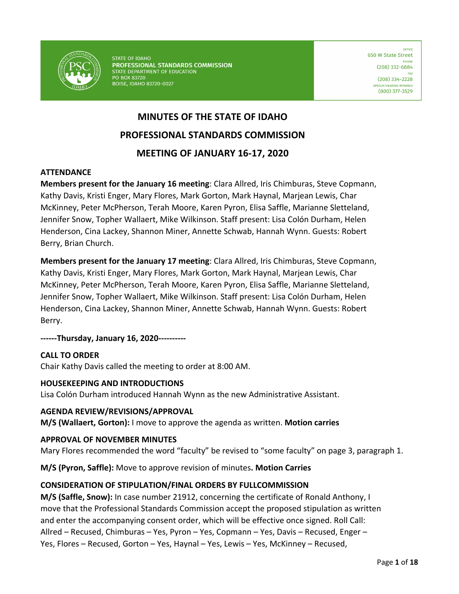

**STATE OF IDAHO** PROFESSIONAL STANDARDS COMMISSION STATE DEPARTMENT OF EDUCATION PO BOX 83720 **BOISE, IDAHO 83720-0027** 

OFFICE 650 W State Street (208) 332-6884  $(208)$  334-2228 SPEECH/HEARING IMPAIRED (800) 377-3529

# **MINUTES OF THE STATE OF IDAHO PROFESSIONAL STANDARDS COMMISSION MEETING OF JANUARY 16-17, 2020**

#### **ATTENDANCE**

**Members present for the January 16 meeting**: Clara Allred, Iris Chimburas, Steve Copmann, Kathy Davis, Kristi Enger, Mary Flores, Mark Gorton, Mark Haynal, Marjean Lewis, Char McKinney, Peter McPherson, Terah Moore, Karen Pyron, Elisa Saffle, Marianne Sletteland, Jennifer Snow, Topher Wallaert, Mike Wilkinson. Staff present: Lisa Colón Durham, Helen Henderson, Cina Lackey, Shannon Miner, Annette Schwab, Hannah Wynn. Guests: Robert Berry, Brian Church.

**Members present for the January 17 meeting**: Clara Allred, Iris Chimburas, Steve Copmann, Kathy Davis, Kristi Enger, Mary Flores, Mark Gorton, Mark Haynal, Marjean Lewis, Char McKinney, Peter McPherson, Terah Moore, Karen Pyron, Elisa Saffle, Marianne Sletteland, Jennifer Snow, Topher Wallaert, Mike Wilkinson. Staff present: Lisa Colón Durham, Helen Henderson, Cina Lackey, Shannon Miner, Annette Schwab, Hannah Wynn. Guests: Robert Berry.

**------Thursday, January 16, 2020----------**

#### **CALL TO ORDER**

Chair Kathy Davis called the meeting to order at 8:00 AM.

#### **HOUSEKEEPING AND INTRODUCTIONS**

Lisa Colón Durham introduced Hannah Wynn as the new Administrative Assistant.

#### **AGENDA REVIEW/REVISIONS/APPROVAL**

**M/S (Wallaert, Gorton):** I move to approve the agenda as written. **Motion carries**

#### **APPROVAL OF NOVEMBER MINUTES**

Mary Flores recommended the word "faculty" be revised to "some faculty" on page 3, paragraph 1.

**M/S (Pyron, Saffle):** Move to approve revision of minutes**. Motion Carries**

#### **CONSIDERATION OF STIPULATION/FINAL ORDERS BY FULLCOMMISSION**

**M/S (Saffle, Snow):** In case number 21912, concerning the certificate of Ronald Anthony, I move that the Professional Standards Commission accept the proposed stipulation as written and enter the accompanying consent order, which will be effective once signed. Roll Call: Allred – Recused, Chimburas – Yes, Pyron – Yes, Copmann – Yes, Davis – Recused, Enger – Yes, Flores – Recused, Gorton – Yes, Haynal – Yes, Lewis – Yes, McKinney – Recused,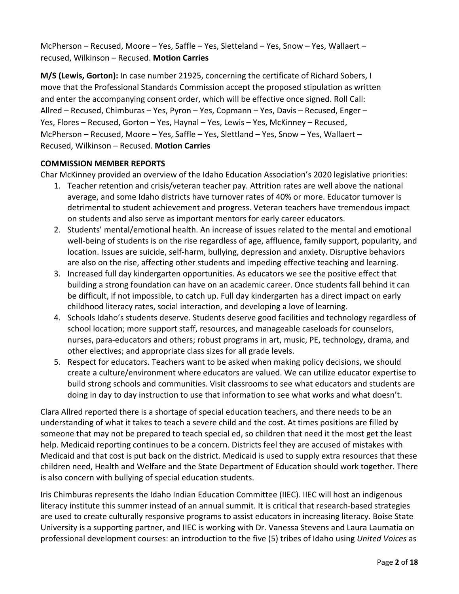McPherson – Recused, Moore – Yes, Saffle – Yes, Sletteland – Yes, Snow – Yes, Wallaert – recused, Wilkinson – Recused. **Motion Carries** 

**M/S (Lewis, Gorton):** In case number 21925, concerning the certificate of Richard Sobers, I move that the Professional Standards Commission accept the proposed stipulation as written and enter the accompanying consent order, which will be effective once signed. Roll Call: Allred – Recused, Chimburas – Yes, Pyron – Yes, Copmann – Yes, Davis – Recused, Enger – Yes, Flores – Recused, Gorton – Yes, Haynal – Yes, Lewis – Yes, McKinney – Recused, McPherson – Recused, Moore – Yes, Saffle – Yes, Slettland – Yes, Snow – Yes, Wallaert – Recused, Wilkinson – Recused. **Motion Carries**

#### **COMMISSION MEMBER REPORTS**

Char McKinney provided an overview of the Idaho Education Association's 2020 legislative priorities:

- 1. Teacher retention and crisis/veteran teacher pay. Attrition rates are well above the national average, and some Idaho districts have turnover rates of 40% or more. Educator turnover is detrimental to student achievement and progress. Veteran teachers have tremendous impact on students and also serve as important mentors for early career educators.
- 2. Students' mental/emotional health. An increase of issues related to the mental and emotional well-being of students is on the rise regardless of age, affluence, family support, popularity, and location. Issues are suicide, self-harm, bullying, depression and anxiety. Disruptive behaviors are also on the rise, affecting other students and impeding effective teaching and learning.
- 3. Increased full day kindergarten opportunities. As educators we see the positive effect that building a strong foundation can have on an academic career. Once students fall behind it can be difficult, if not impossible, to catch up. Full day kindergarten has a direct impact on early childhood literacy rates, social interaction, and developing a love of learning.
- 4. Schools Idaho's students deserve. Students deserve good facilities and technology regardless of school location; more support staff, resources, and manageable caseloads for counselors, nurses, para-educators and others; robust programs in art, music, PE, technology, drama, and other electives; and appropriate class sizes for all grade levels.
- 5. Respect for educators. Teachers want to be asked when making policy decisions, we should create a culture/environment where educators are valued. We can utilize educator expertise to build strong schools and communities. Visit classrooms to see what educators and students are doing in day to day instruction to use that information to see what works and what doesn't.

Clara Allred reported there is a shortage of special education teachers, and there needs to be an understanding of what it takes to teach a severe child and the cost. At times positions are filled by someone that may not be prepared to teach special ed, so children that need it the most get the least help. Medicaid reporting continues to be a concern. Districts feel they are accused of mistakes with Medicaid and that cost is put back on the district. Medicaid is used to supply extra resources that these children need, Health and Welfare and the State Department of Education should work together. There is also concern with bullying of special education students.

Iris Chimburas represents the Idaho Indian Education Committee (IIEC). IIEC will host an indigenous literacy institute this summer instead of an annual summit. It is critical that research-based strategies are used to create culturally responsive programs to assist educators in increasing literacy. Boise State University is a supporting partner, and IIEC is working with Dr. Vanessa Stevens and Laura Laumatia on professional development courses: an introduction to the five (5) tribes of Idaho using *United Voices* as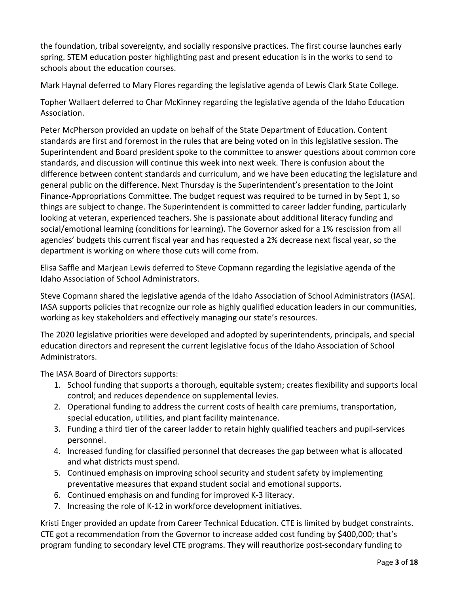the foundation, tribal sovereignty, and socially responsive practices. The first course launches early spring. STEM education poster highlighting past and present education is in the works to send to schools about the education courses.

Mark Haynal deferred to Mary Flores regarding the legislative agenda of Lewis Clark State College.

Topher Wallaert deferred to Char McKinney regarding the legislative agenda of the Idaho Education Association.

Peter McPherson provided an update on behalf of the State Department of Education. Content standards are first and foremost in the rules that are being voted on in this legislative session. The Superintendent and Board president spoke to the committee to answer questions about common core standards, and discussion will continue this week into next week. There is confusion about the difference between content standards and curriculum, and we have been educating the legislature and general public on the difference. Next Thursday is the Superintendent's presentation to the Joint Finance-Appropriations Committee. The budget request was required to be turned in by Sept 1, so things are subject to change. The Superintendent is committed to career ladder funding, particularly looking at veteran, experienced teachers. She is passionate about additional literacy funding and social/emotional learning (conditions for learning). The Governor asked for a 1% rescission from all agencies' budgets this current fiscal year and has requested a 2% decrease next fiscal year, so the department is working on where those cuts will come from.

Elisa Saffle and Marjean Lewis deferred to Steve Copmann regarding the legislative agenda of the Idaho Association of School Administrators.

Steve Copmann shared the legislative agenda of the Idaho Association of School Administrators (IASA). IASA supports policies that recognize our role as highly qualified education leaders in our communities, working as key stakeholders and effectively managing our state's resources.

The 2020 legislative priorities were developed and adopted by superintendents, principals, and special education directors and represent the current legislative focus of the Idaho Association of School Administrators.

The IASA Board of Directors supports:

- 1. School funding that supports a thorough, equitable system; creates flexibility and supports local control; and reduces dependence on supplemental levies.
- 2. Operational funding to address the current costs of health care premiums, transportation, special education, utilities, and plant facility maintenance.
- 3. Funding a third tier of the career ladder to retain highly qualified teachers and pupil-services personnel.
- 4. Increased funding for classified personnel that decreases the gap between what is allocated and what districts must spend.
- 5. Continued emphasis on improving school security and student safety by implementing preventative measures that expand student social and emotional supports.
- 6. Continued emphasis on and funding for improved K-3 literacy.
- 7. Increasing the role of K-12 in workforce development initiatives.

Kristi Enger provided an update from Career Technical Education. CTE is limited by budget constraints. CTE got a recommendation from the Governor to increase added cost funding by \$400,000; that's program funding to secondary level CTE programs. They will reauthorize post-secondary funding to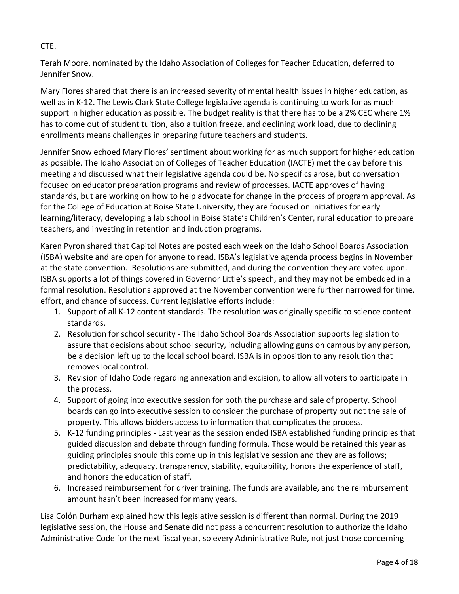### CTE.

Terah Moore, nominated by the Idaho Association of Colleges for Teacher Education, deferred to Jennifer Snow.

Mary Flores shared that there is an increased severity of mental health issues in higher education, as well as in K-12. The Lewis Clark State College legislative agenda is continuing to work for as much support in higher education as possible. The budget reality is that there has to be a 2% CEC where 1% has to come out of student tuition, also a tuition freeze, and declining work load, due to declining enrollments means challenges in preparing future teachers and students.

Jennifer Snow echoed Mary Flores' sentiment about working for as much support for higher education as possible. The Idaho Association of Colleges of Teacher Education (IACTE) met the day before this meeting and discussed what their legislative agenda could be. No specifics arose, but conversation focused on educator preparation programs and review of processes. IACTE approves of having standards, but are working on how to help advocate for change in the process of program approval. As for the College of Education at Boise State University, they are focused on initiatives for early learning/literacy, developing a lab school in Boise State's Children's Center, rural education to prepare teachers, and investing in retention and induction programs.

Karen Pyron shared that Capitol Notes are posted each week on the Idaho School Boards Association (ISBA) website and are open for anyone to read. ISBA's legislative agenda process begins in November at the state convention. Resolutions are submitted, and during the convention they are voted upon. ISBA supports a lot of things covered in Governor Little's speech, and they may not be embedded in a formal resolution. Resolutions approved at the November convention were further narrowed for time, effort, and chance of success. Current legislative efforts include:

- 1. Support of all K-12 content standards. The resolution was originally specific to science content standards.
- 2. Resolution for school security The Idaho School Boards Association supports legislation to assure that decisions about school security, including allowing guns on campus by any person, be a decision left up to the local school board. ISBA is in opposition to any resolution that removes local control.
- 3. Revision of Idaho Code regarding annexation and excision, to allow all voters to participate in the process.
- 4. Support of going into executive session for both the purchase and sale of property. School boards can go into executive session to consider the purchase of property but not the sale of property. This allows bidders access to information that complicates the process.
- 5. K-12 funding principles Last year as the session ended ISBA established funding principles that guided discussion and debate through funding formula. Those would be retained this year as guiding principles should this come up in this legislative session and they are as follows; predictability, adequacy, transparency, stability, equitability, honors the experience of staff, and honors the education of staff.
- 6. Increased reimbursement for driver training. The funds are available, and the reimbursement amount hasn't been increased for many years.

Lisa Colón Durham explained how this legislative session is different than normal. During the 2019 legislative session, the House and Senate did not pass a concurrent resolution to authorize the Idaho Administrative Code for the next fiscal year, so every Administrative Rule, not just those concerning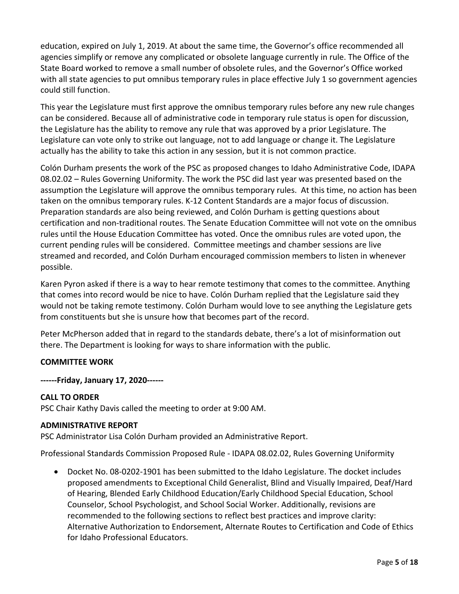education, expired on July 1, 2019. At about the same time, the Governor's office recommended all agencies simplify or remove any complicated or obsolete language currently in rule. The Office of the State Board worked to remove a small number of obsolete rules, and the Governor's Office worked with all state agencies to put omnibus temporary rules in place effective July 1 so government agencies could still function.

This year the Legislature must first approve the omnibus temporary rules before any new rule changes can be considered. Because all of administrative code in temporary rule status is open for discussion, the Legislature has the ability to remove any rule that was approved by a prior Legislature. The Legislature can vote only to strike out language, not to add language or change it. The Legislature actually has the ability to take this action in any session, but it is not common practice.

Colón Durham presents the work of the PSC as proposed changes to Idaho Administrative Code, IDAPA 08.02.02 – Rules Governing Uniformity. The work the PSC did last year was presented based on the assumption the Legislature will approve the omnibus temporary rules. At this time, no action has been taken on the omnibus temporary rules. K-12 Content Standards are a major focus of discussion. Preparation standards are also being reviewed, and Colón Durham is getting questions about certification and non-traditional routes. The Senate Education Committee will not vote on the omnibus rules until the House Education Committee has voted. Once the omnibus rules are voted upon, the current pending rules will be considered. Committee meetings and chamber sessions are live streamed and recorded, and Colón Durham encouraged commission members to listen in whenever possible.

Karen Pyron asked if there is a way to hear remote testimony that comes to the committee. Anything that comes into record would be nice to have. Colón Durham replied that the Legislature said they would not be taking remote testimony. Colón Durham would love to see anything the Legislature gets from constituents but she is unsure how that becomes part of the record.

Peter McPherson added that in regard to the standards debate, there's a lot of misinformation out there. The Department is looking for ways to share information with the public.

#### **COMMITTEE WORK**

**------Friday, January 17, 2020------**

#### **CALL TO ORDER**

PSC Chair Kathy Davis called the meeting to order at 9:00 AM.

#### **ADMINISTRATIVE REPORT**

PSC Administrator Lisa Colón Durham provided an Administrative Report.

Professional Standards Commission Proposed Rule - IDAPA 08.02.02, Rules Governing Uniformity

• Docket No. 08-0202-1901 has been submitted to the Idaho Legislature. The docket includes proposed amendments to Exceptional Child Generalist, Blind and Visually Impaired, Deaf/Hard of Hearing, Blended Early Childhood Education/Early Childhood Special Education, School Counselor, School Psychologist, and School Social Worker. Additionally, revisions are recommended to the following sections to reflect best practices and improve clarity: Alternative Authorization to Endorsement, Alternate Routes to Certification and Code of Ethics for Idaho Professional Educators.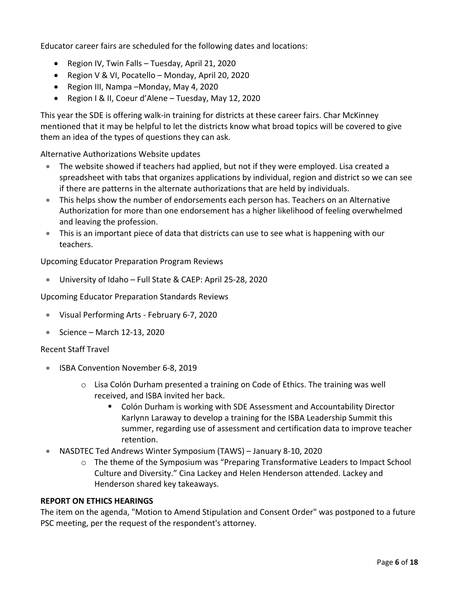Educator career fairs are scheduled for the following dates and locations:

- Region IV, Twin Falls Tuesday, April 21, 2020
- Region V & VI, Pocatello Monday, April 20, 2020
- Region III, Nampa –Monday, May 4, 2020
- Region I & II, Coeur d'Alene Tuesday, May 12, 2020

This year the SDE is offering walk-in training for districts at these career fairs. Char McKinney mentioned that it may be helpful to let the districts know what broad topics will be covered to give them an idea of the types of questions they can ask.

Alternative Authorizations Website updates

- The website showed if teachers had applied, but not if they were employed. Lisa created a spreadsheet with tabs that organizes applications by individual, region and district so we can see if there are patterns in the alternate authorizations that are held by individuals.
- This helps show the number of endorsements each person has. Teachers on an Alternative Authorization for more than one endorsement has a higher likelihood of feeling overwhelmed and leaving the profession.
- This is an important piece of data that districts can use to see what is happening with our teachers.

Upcoming Educator Preparation Program Reviews

• University of Idaho – Full State & CAEP: April 25-28, 2020

Upcoming Educator Preparation Standards Reviews

- Visual Performing Arts February 6-7, 2020
- Science March 12-13, 2020

#### Recent Staff Travel

- ISBA Convention November 6-8, 2019
	- o Lisa Colón Durham presented a training on Code of Ethics. The training was well received, and ISBA invited her back.
		- Colón Durham is working with SDE Assessment and Accountability Director Karlynn Laraway to develop a training for the ISBA Leadership Summit this summer, regarding use of assessment and certification data to improve teacher retention.
- NASDTEC Ted Andrews Winter Symposium (TAWS) January 8-10, 2020
	- o The theme of the Symposium was "Preparing Transformative Leaders to Impact School Culture and Diversity." Cina Lackey and Helen Henderson attended. Lackey and Henderson shared key takeaways.

#### **REPORT ON ETHICS HEARINGS**

The item on the agenda, "Motion to Amend Stipulation and Consent Order" was postponed to a future PSC meeting, per the request of the respondent's attorney.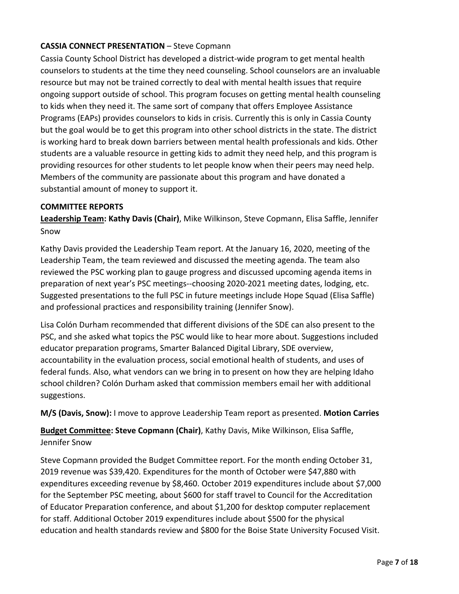### **CASSIA CONNECT PRESENTATION** – Steve Copmann

Cassia County School District has developed a district-wide program to get mental health counselors to students at the time they need counseling. School counselors are an invaluable resource but may not be trained correctly to deal with mental health issues that require ongoing support outside of school. This program focuses on getting mental health counseling to kids when they need it. The same sort of company that offers Employee Assistance Programs (EAPs) provides counselors to kids in crisis. Currently this is only in Cassia County but the goal would be to get this program into other school districts in the state. The district is working hard to break down barriers between mental health professionals and kids. Other students are a valuable resource in getting kids to admit they need help, and this program is providing resources for other students to let people know when their peers may need help. Members of the community are passionate about this program and have donated a substantial amount of money to support it.

#### **COMMITTEE REPORTS**

**Leadership Team: Kathy Davis (Chair)**, Mike Wilkinson, Steve Copmann, Elisa Saffle, Jennifer Snow

Kathy Davis provided the Leadership Team report. At the January 16, 2020, meeting of the Leadership Team, the team reviewed and discussed the meeting agenda. The team also reviewed the PSC working plan to gauge progress and discussed upcoming agenda items in preparation of next year's PSC meetings--choosing 2020-2021 meeting dates, lodging, etc. Suggested presentations to the full PSC in future meetings include Hope Squad (Elisa Saffle) and professional practices and responsibility training (Jennifer Snow).

Lisa Colón Durham recommended that different divisions of the SDE can also present to the PSC, and she asked what topics the PSC would like to hear more about. Suggestions included educator preparation programs, Smarter Balanced Digital Library, SDE overview, accountability in the evaluation process, social emotional health of students, and uses of federal funds. Also, what vendors can we bring in to present on how they are helping Idaho school children? Colón Durham asked that commission members email her with additional suggestions.

**M/S (Davis, Snow):** I move to approve Leadership Team report as presented. **Motion Carries**

**Budget Committee: Steve Copmann (Chair)**, Kathy Davis, Mike Wilkinson, Elisa Saffle, Jennifer Snow

Steve Copmann provided the Budget Committee report. For the month ending October 31, 2019 revenue was \$39,420. Expenditures for the month of October were \$47,880 with expenditures exceeding revenue by \$8,460. October 2019 expenditures include about \$7,000 for the September PSC meeting, about \$600 for staff travel to Council for the Accreditation of Educator Preparation conference, and about \$1,200 for desktop computer replacement for staff. Additional October 2019 expenditures include about \$500 for the physical education and health standards review and \$800 for the Boise State University Focused Visit.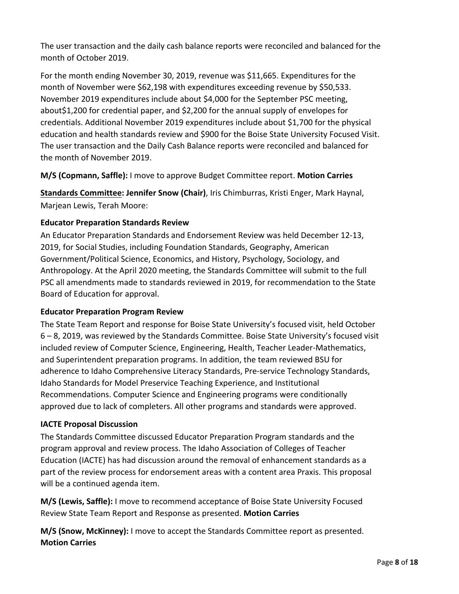The user transaction and the daily cash balance reports were reconciled and balanced for the month of October 2019.

For the month ending November 30, 2019, revenue was \$11,665. Expenditures for the month of November were \$62,198 with expenditures exceeding revenue by \$50,533. November 2019 expenditures include about \$4,000 for the September PSC meeting, about\$1,200 for credential paper, and \$2,200 for the annual supply of envelopes for credentials. Additional November 2019 expenditures include about \$1,700 for the physical education and health standards review and \$900 for the Boise State University Focused Visit. The user transaction and the Daily Cash Balance reports were reconciled and balanced for the month of November 2019.

**M/S (Copmann, Saffle):** I move to approve Budget Committee report. **Motion Carries** 

**Standards Committee: Jennifer Snow (Chair)**, Iris Chimburras, Kristi Enger, Mark Haynal, Marjean Lewis, Terah Moore:

### **Educator Preparation Standards Review**

An Educator Preparation Standards and Endorsement Review was held December 12-13, 2019, for Social Studies, including Foundation Standards, Geography, American Government/Political Science, Economics, and History, Psychology, Sociology, and Anthropology. At the April 2020 meeting, the Standards Committee will submit to the full PSC all amendments made to standards reviewed in 2019, for recommendation to the State Board of Education for approval.

#### **Educator Preparation Program Review**

The State Team Report and response for Boise State University's focused visit, held October 6 – 8, 2019, was reviewed by the Standards Committee. Boise State University's focused visit included review of Computer Science, Engineering, Health, Teacher Leader-Mathematics, and Superintendent preparation programs. In addition, the team reviewed BSU for adherence to Idaho Comprehensive Literacy Standards, Pre-service Technology Standards, Idaho Standards for Model Preservice Teaching Experience, and Institutional Recommendations. Computer Science and Engineering programs were conditionally approved due to lack of completers. All other programs and standards were approved.

#### **IACTE Proposal Discussion**

The Standards Committee discussed Educator Preparation Program standards and the program approval and review process. The Idaho Association of Colleges of Teacher Education (IACTE) has had discussion around the removal of enhancement standards as a part of the review process for endorsement areas with a content area Praxis. This proposal will be a continued agenda item.

**M/S (Lewis, Saffle):** I move to recommend acceptance of Boise State University Focused Review State Team Report and Response as presented. **Motion Carries**

**M/S (Snow, McKinney):** I move to accept the Standards Committee report as presented. **Motion Carries**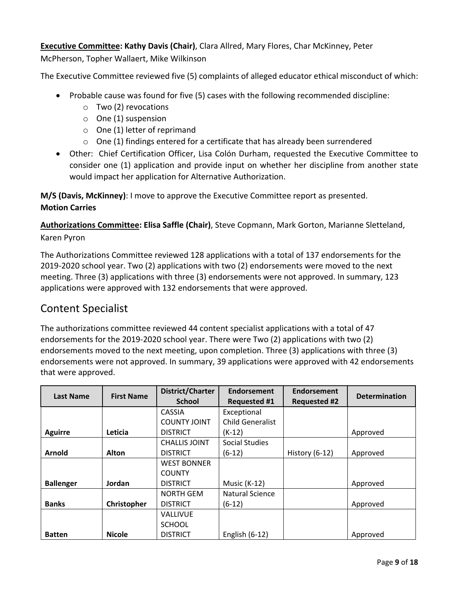### **Executive Committee: Kathy Davis (Chair)**, Clara Allred, Mary Flores, Char McKinney, Peter

McPherson, Topher Wallaert, Mike Wilkinson

The Executive Committee reviewed five (5) complaints of alleged educator ethical misconduct of which:

- Probable cause was found for five (5) cases with the following recommended discipline:
	- o Two (2) revocations
	- o One (1) suspension
	- $\circ$  One (1) letter of reprimand
	- $\circ$  One (1) findings entered for a certificate that has already been surrendered
- Other: Chief Certification Officer, Lisa Colón Durham, requested the Executive Committee to consider one (1) application and provide input on whether her discipline from another state would impact her application for Alternative Authorization.

**M/S (Davis, McKinney)**: I move to approve the Executive Committee report as presented. **Motion Carries**

**Authorizations Committee: Elisa Saffle (Chair)**, Steve Copmann, Mark Gorton, Marianne Sletteland, Karen Pyron

The Authorizations Committee reviewed 128 applications with a total of 137 endorsements for the 2019-2020 school year. Two (2) applications with two (2) endorsements were moved to the next meeting. Three (3) applications with three (3) endorsements were not approved. In summary, 123 applications were approved with 132 endorsements that were approved.

### Content Specialist

The authorizations committee reviewed 44 content specialist applications with a total of 47 endorsements for the 2019-2020 school year. There were Two (2) applications with two (2) endorsements moved to the next meeting, upon completion. Three (3) applications with three (3) endorsements were not approved. In summary, 39 applications were approved with 42 endorsements that were approved.

| Last Name        | <b>First Name</b> | District/Charter<br><b>School</b> | Endorsement<br><b>Requested #1</b> | Endorsement<br><b>Requested #2</b> | <b>Determination</b> |
|------------------|-------------------|-----------------------------------|------------------------------------|------------------------------------|----------------------|
|                  |                   | <b>CASSIA</b>                     | Exceptional                        |                                    |                      |
|                  |                   | <b>COUNTY JOINT</b>               | <b>Child Generalist</b>            |                                    |                      |
| <b>Aguirre</b>   | Leticia           | <b>DISTRICT</b>                   | $(K-12)$                           |                                    | Approved             |
|                  |                   | <b>CHALLIS JOINT</b>              | <b>Social Studies</b>              |                                    |                      |
| <b>Arnold</b>    | <b>Alton</b>      | <b>DISTRICT</b>                   | $(6-12)$                           | History $(6-12)$                   | Approved             |
|                  |                   | <b>WEST BONNER</b>                |                                    |                                    |                      |
|                  |                   | <b>COUNTY</b>                     |                                    |                                    |                      |
| <b>Ballenger</b> | Jordan            | <b>DISTRICT</b>                   | <b>Music (K-12)</b>                |                                    | Approved             |
|                  |                   | <b>NORTH GEM</b>                  | Natural Science                    |                                    |                      |
| <b>Banks</b>     | Christopher       | <b>DISTRICT</b>                   | (6-12)                             |                                    | Approved             |
|                  |                   | <b>VALLIVUE</b>                   |                                    |                                    |                      |
|                  |                   | <b>SCHOOL</b>                     |                                    |                                    |                      |
| <b>Batten</b>    | <b>Nicole</b>     | <b>DISTRICT</b>                   | English (6-12)                     |                                    | Approved             |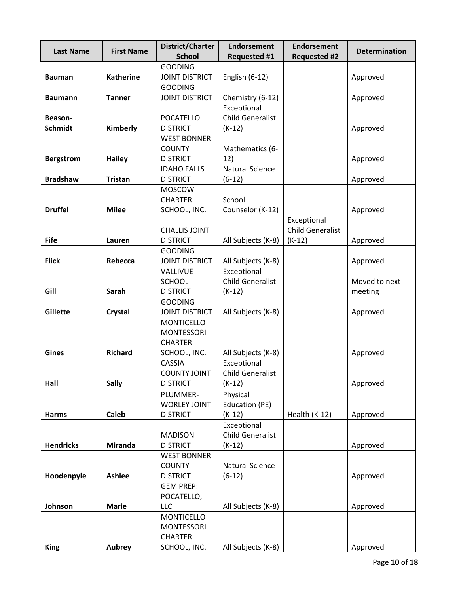| <b>Last Name</b> | <b>First Name</b> | District/Charter<br><b>School</b>   | <b>Endorsement</b><br><b>Requested #1</b> | <b>Endorsement</b><br><b>Requested #2</b> | <b>Determination</b> |
|------------------|-------------------|-------------------------------------|-------------------------------------------|-------------------------------------------|----------------------|
|                  |                   | <b>GOODING</b>                      |                                           |                                           |                      |
| <b>Bauman</b>    | <b>Katherine</b>  | <b>JOINT DISTRICT</b>               | English (6-12)                            |                                           | Approved             |
|                  |                   | <b>GOODING</b>                      |                                           |                                           |                      |
| <b>Baumann</b>   | <b>Tanner</b>     | <b>JOINT DISTRICT</b>               | Chemistry (6-12)                          |                                           | Approved             |
|                  |                   |                                     | Exceptional                               |                                           |                      |
| Beason-          |                   | POCATELLO                           | <b>Child Generalist</b>                   |                                           |                      |
| <b>Schmidt</b>   | Kimberly          | <b>DISTRICT</b>                     | $(K-12)$                                  |                                           | Approved             |
|                  |                   | <b>WEST BONNER</b>                  |                                           |                                           |                      |
|                  |                   | <b>COUNTY</b>                       | Mathematics (6-                           |                                           |                      |
| <b>Bergstrom</b> | <b>Hailey</b>     | <b>DISTRICT</b>                     | 12)                                       |                                           | Approved             |
|                  |                   | <b>IDAHO FALLS</b>                  | <b>Natural Science</b>                    |                                           |                      |
| <b>Bradshaw</b>  | <b>Tristan</b>    | <b>DISTRICT</b><br>MOSCOW           | $(6-12)$                                  |                                           | Approved             |
|                  |                   | <b>CHARTER</b>                      | School                                    |                                           |                      |
| <b>Druffel</b>   | <b>Milee</b>      | SCHOOL, INC.                        | Counselor (K-12)                          |                                           | Approved             |
|                  |                   |                                     |                                           | Exceptional                               |                      |
|                  |                   | <b>CHALLIS JOINT</b>                |                                           | <b>Child Generalist</b>                   |                      |
| <b>Fife</b>      | Lauren            | <b>DISTRICT</b>                     | All Subjects (K-8)                        | $(K-12)$                                  | Approved             |
|                  |                   | <b>GOODING</b>                      |                                           |                                           |                      |
| <b>Flick</b>     | Rebecca           | <b>JOINT DISTRICT</b>               | All Subjects (K-8)                        |                                           | Approved             |
|                  |                   | VALLIVUE                            | Exceptional                               |                                           |                      |
|                  |                   | <b>SCHOOL</b>                       | <b>Child Generalist</b>                   |                                           | Moved to next        |
| Gill             | Sarah             | <b>DISTRICT</b>                     | $(K-12)$                                  |                                           | meeting              |
|                  |                   | <b>GOODING</b>                      |                                           |                                           |                      |
| Gillette         | Crystal           | <b>JOINT DISTRICT</b>               | All Subjects (K-8)                        |                                           | Approved             |
|                  |                   | <b>MONTICELLO</b>                   |                                           |                                           |                      |
|                  |                   | <b>MONTESSORI</b><br><b>CHARTER</b> |                                           |                                           |                      |
| <b>Gines</b>     | <b>Richard</b>    | SCHOOL, INC.                        | All Subjects (K-8)                        |                                           | Approved             |
|                  |                   | <b>CASSIA</b>                       | Exceptional                               |                                           |                      |
|                  |                   | <b>COUNTY JOINT</b>                 | <b>Child Generalist</b>                   |                                           |                      |
| Hall             | <b>Sally</b>      | <b>DISTRICT</b>                     | $(K-12)$                                  |                                           | Approved             |
|                  |                   | PLUMMER-                            | Physical                                  |                                           |                      |
|                  |                   | <b>WORLEY JOINT</b>                 | Education (PE)                            |                                           |                      |
| <b>Harms</b>     | <b>Caleb</b>      | <b>DISTRICT</b>                     | $(K-12)$                                  | Health (K-12)                             | Approved             |
|                  |                   |                                     | Exceptional                               |                                           |                      |
|                  |                   | <b>MADISON</b>                      | <b>Child Generalist</b>                   |                                           |                      |
| <b>Hendricks</b> | <b>Miranda</b>    | <b>DISTRICT</b>                     | $(K-12)$                                  |                                           | Approved             |
|                  |                   | <b>WEST BONNER</b>                  |                                           |                                           |                      |
| Hoodenpyle       | <b>Ashlee</b>     | <b>COUNTY</b><br><b>DISTRICT</b>    | <b>Natural Science</b><br>$(6-12)$        |                                           | Approved             |
|                  |                   | <b>GEM PREP:</b>                    |                                           |                                           |                      |
|                  |                   | POCATELLO,                          |                                           |                                           |                      |
| Johnson          | <b>Marie</b>      | LLC                                 | All Subjects (K-8)                        |                                           | Approved             |
|                  |                   | <b>MONTICELLO</b>                   |                                           |                                           |                      |
|                  |                   | <b>MONTESSORI</b>                   |                                           |                                           |                      |
|                  |                   | <b>CHARTER</b>                      |                                           |                                           |                      |
| <b>King</b>      | <b>Aubrey</b>     | SCHOOL, INC.                        | All Subjects (K-8)                        |                                           | Approved             |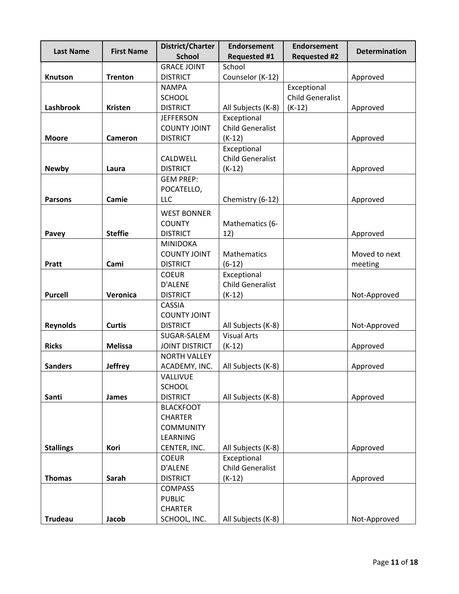| <b>Last Name</b>                                                               | <b>First Name</b>                                 | District/Charter                                                                                                                                                                                                                                                                     | <b>Endorsement</b>                                                                                                                         | <b>Endorsement</b>      | <b>Determination</b>                                         |
|--------------------------------------------------------------------------------|---------------------------------------------------|--------------------------------------------------------------------------------------------------------------------------------------------------------------------------------------------------------------------------------------------------------------------------------------|--------------------------------------------------------------------------------------------------------------------------------------------|-------------------------|--------------------------------------------------------------|
|                                                                                |                                                   | <b>School</b><br><b>GRACE JOINT</b>                                                                                                                                                                                                                                                  | <b>Requested #1</b><br>School                                                                                                              | <b>Requested #2</b>     |                                                              |
| Knutson                                                                        | <b>Trenton</b>                                    | <b>DISTRICT</b>                                                                                                                                                                                                                                                                      | Counselor (K-12)                                                                                                                           |                         | Approved                                                     |
|                                                                                |                                                   |                                                                                                                                                                                                                                                                                      |                                                                                                                                            | Exceptional             |                                                              |
|                                                                                |                                                   | <b>NAMPA</b>                                                                                                                                                                                                                                                                         |                                                                                                                                            | <b>Child Generalist</b> |                                                              |
| Lashbrook                                                                      | <b>Kristen</b>                                    | <b>SCHOOL</b><br><b>DISTRICT</b>                                                                                                                                                                                                                                                     |                                                                                                                                            |                         |                                                              |
|                                                                                |                                                   | <b>JEFFERSON</b>                                                                                                                                                                                                                                                                     | All Subjects (K-8)<br>Exceptional                                                                                                          | $(K-12)$                | Approved                                                     |
|                                                                                |                                                   | <b>COUNTY JOINT</b>                                                                                                                                                                                                                                                                  | <b>Child Generalist</b>                                                                                                                    |                         |                                                              |
| <b>Moore</b>                                                                   | <b>Cameron</b>                                    | <b>DISTRICT</b>                                                                                                                                                                                                                                                                      | $(K-12)$                                                                                                                                   |                         |                                                              |
|                                                                                |                                                   |                                                                                                                                                                                                                                                                                      | Exceptional                                                                                                                                |                         | Approved                                                     |
|                                                                                |                                                   | CALDWELL                                                                                                                                                                                                                                                                             | <b>Child Generalist</b>                                                                                                                    |                         |                                                              |
| <b>Newby</b>                                                                   | Laura                                             | <b>DISTRICT</b>                                                                                                                                                                                                                                                                      | $(K-12)$                                                                                                                                   |                         | Approved                                                     |
|                                                                                |                                                   | <b>GEM PREP:</b>                                                                                                                                                                                                                                                                     |                                                                                                                                            |                         |                                                              |
|                                                                                |                                                   | POCATELLO,                                                                                                                                                                                                                                                                           |                                                                                                                                            |                         |                                                              |
| <b>Parsons</b>                                                                 | Camie                                             | <b>LLC</b>                                                                                                                                                                                                                                                                           | Chemistry (6-12)                                                                                                                           |                         | Approved                                                     |
|                                                                                |                                                   |                                                                                                                                                                                                                                                                                      |                                                                                                                                            |                         |                                                              |
|                                                                                |                                                   | <b>WEST BONNER</b>                                                                                                                                                                                                                                                                   |                                                                                                                                            |                         |                                                              |
|                                                                                |                                                   | <b>COUNTY</b>                                                                                                                                                                                                                                                                        | Mathematics (6-                                                                                                                            |                         |                                                              |
| Pavey                                                                          | <b>Steffie</b>                                    | <b>DISTRICT</b>                                                                                                                                                                                                                                                                      | 12)                                                                                                                                        |                         | Approved                                                     |
|                                                                                |                                                   | <b>MINIDOKA</b>                                                                                                                                                                                                                                                                      |                                                                                                                                            |                         |                                                              |
|                                                                                |                                                   | <b>COUNTY JOINT</b>                                                                                                                                                                                                                                                                  | Mathematics                                                                                                                                |                         | Moved to next                                                |
| Pratt                                                                          | Cami                                              | <b>DISTRICT</b>                                                                                                                                                                                                                                                                      | $(6-12)$                                                                                                                                   |                         | meeting                                                      |
|                                                                                |                                                   | <b>COEUR</b>                                                                                                                                                                                                                                                                         | Exceptional                                                                                                                                |                         |                                                              |
|                                                                                |                                                   | D'ALENE                                                                                                                                                                                                                                                                              | <b>Child Generalist</b>                                                                                                                    |                         |                                                              |
| <b>Purcell</b>                                                                 | Veronica                                          | <b>DISTRICT</b>                                                                                                                                                                                                                                                                      | $(K-12)$                                                                                                                                   |                         | Not-Approved                                                 |
|                                                                                |                                                   | <b>CASSIA</b>                                                                                                                                                                                                                                                                        |                                                                                                                                            |                         |                                                              |
|                                                                                |                                                   | <b>COUNTY JOINT</b>                                                                                                                                                                                                                                                                  |                                                                                                                                            |                         |                                                              |
| <b>Reynolds</b>                                                                | <b>Curtis</b>                                     | <b>DISTRICT</b>                                                                                                                                                                                                                                                                      | All Subjects (K-8)                                                                                                                         |                         | Not-Approved                                                 |
|                                                                                |                                                   | SUGAR-SALEM                                                                                                                                                                                                                                                                          | <b>Visual Arts</b>                                                                                                                         |                         |                                                              |
| <b>Ricks</b>                                                                   | <b>Melissa</b>                                    | <b>JOINT DISTRICT</b>                                                                                                                                                                                                                                                                | $(K-12)$                                                                                                                                   |                         | Approved                                                     |
|                                                                                |                                                   | <b>NORTH VALLEY</b>                                                                                                                                                                                                                                                                  |                                                                                                                                            |                         |                                                              |
|                                                                                |                                                   |                                                                                                                                                                                                                                                                                      |                                                                                                                                            |                         |                                                              |
|                                                                                |                                                   |                                                                                                                                                                                                                                                                                      |                                                                                                                                            |                         |                                                              |
|                                                                                |                                                   |                                                                                                                                                                                                                                                                                      |                                                                                                                                            |                         |                                                              |
|                                                                                |                                                   |                                                                                                                                                                                                                                                                                      |                                                                                                                                            |                         |                                                              |
|                                                                                |                                                   |                                                                                                                                                                                                                                                                                      |                                                                                                                                            |                         |                                                              |
|                                                                                |                                                   |                                                                                                                                                                                                                                                                                      |                                                                                                                                            |                         |                                                              |
|                                                                                |                                                   |                                                                                                                                                                                                                                                                                      |                                                                                                                                            |                         |                                                              |
|                                                                                |                                                   |                                                                                                                                                                                                                                                                                      |                                                                                                                                            |                         |                                                              |
|                                                                                |                                                   |                                                                                                                                                                                                                                                                                      |                                                                                                                                            |                         |                                                              |
|                                                                                |                                                   |                                                                                                                                                                                                                                                                                      |                                                                                                                                            |                         |                                                              |
|                                                                                |                                                   |                                                                                                                                                                                                                                                                                      |                                                                                                                                            |                         |                                                              |
|                                                                                |                                                   |                                                                                                                                                                                                                                                                                      |                                                                                                                                            |                         |                                                              |
|                                                                                |                                                   |                                                                                                                                                                                                                                                                                      |                                                                                                                                            |                         |                                                              |
|                                                                                |                                                   |                                                                                                                                                                                                                                                                                      |                                                                                                                                            |                         |                                                              |
|                                                                                |                                                   |                                                                                                                                                                                                                                                                                      |                                                                                                                                            |                         |                                                              |
| <b>Sanders</b><br>Santi<br><b>Stallings</b><br><b>Thomas</b><br><b>Trudeau</b> | <b>Jeffrey</b><br>James<br>Kori<br>Sarah<br>Jacob | ACADEMY, INC.<br>VALLIVUE<br><b>SCHOOL</b><br><b>DISTRICT</b><br><b>BLACKFOOT</b><br><b>CHARTER</b><br><b>COMMUNITY</b><br><b>LEARNING</b><br>CENTER, INC.<br><b>COEUR</b><br><b>D'ALENE</b><br><b>DISTRICT</b><br><b>COMPASS</b><br><b>PUBLIC</b><br><b>CHARTER</b><br>SCHOOL, INC. | All Subjects (K-8)<br>All Subjects (K-8)<br>All Subjects (K-8)<br>Exceptional<br><b>Child Generalist</b><br>$(K-12)$<br>All Subjects (K-8) |                         | Approved<br>Approved<br>Approved<br>Approved<br>Not-Approved |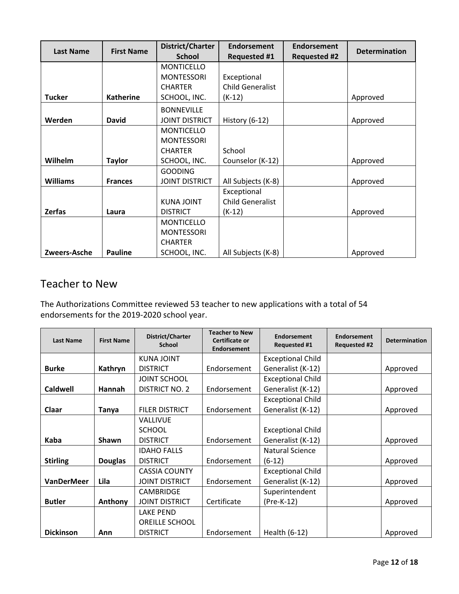| <b>Last Name</b> | <b>First Name</b> | District/Charter<br><b>School</b> | <b>Endorsement</b><br><b>Requested #1</b> | <b>Endorsement</b><br><b>Requested #2</b> | <b>Determination</b> |
|------------------|-------------------|-----------------------------------|-------------------------------------------|-------------------------------------------|----------------------|
|                  |                   | <b>MONTICELLO</b>                 |                                           |                                           |                      |
|                  |                   | <b>MONTESSORI</b>                 | Exceptional                               |                                           |                      |
|                  |                   | <b>CHARTER</b>                    | <b>Child Generalist</b>                   |                                           |                      |
| <b>Tucker</b>    | <b>Katherine</b>  | SCHOOL, INC.                      | $(K-12)$                                  |                                           | Approved             |
|                  |                   | <b>BONNEVILLE</b>                 |                                           |                                           |                      |
| Werden           | <b>David</b>      | <b>JOINT DISTRICT</b>             | History (6-12)                            |                                           | Approved             |
|                  |                   | <b>MONTICELLO</b>                 |                                           |                                           |                      |
|                  |                   | <b>MONTESSORI</b>                 |                                           |                                           |                      |
|                  |                   | <b>CHARTER</b>                    | School                                    |                                           |                      |
| Wilhelm          | <b>Taylor</b>     | SCHOOL, INC.                      | Counselor (K-12)                          |                                           | Approved             |
|                  |                   | <b>GOODING</b>                    |                                           |                                           |                      |
| <b>Williams</b>  | <b>Frances</b>    | <b>JOINT DISTRICT</b>             | All Subjects (K-8)                        |                                           | Approved             |
|                  |                   |                                   | Exceptional                               |                                           |                      |
|                  |                   | <b>KUNA JOINT</b>                 | <b>Child Generalist</b>                   |                                           |                      |
| <b>Zerfas</b>    | Laura             | <b>DISTRICT</b>                   | $(K-12)$                                  |                                           | Approved             |
|                  |                   | <b>MONTICELLO</b>                 |                                           |                                           |                      |
|                  |                   | <b>MONTESSORI</b>                 |                                           |                                           |                      |
|                  |                   | <b>CHARTER</b>                    |                                           |                                           |                      |
| Zweers-Asche     | <b>Pauline</b>    | SCHOOL, INC.                      | All Subjects (K-8)                        |                                           | Approved             |

# Teacher to New

The Authorizations Committee reviewed 53 teacher to new applications with a total of 54 endorsements for the 2019-2020 school year.

| <b>Last Name</b>  | <b>First Name</b> | District/Charter<br><b>School</b> | <b>Teacher to New</b><br>Certificate or<br><b>Endorsement</b> | <b>Endorsement</b><br>Requested #1 | <b>Endorsement</b><br><b>Requested #2</b> | <b>Determination</b> |
|-------------------|-------------------|-----------------------------------|---------------------------------------------------------------|------------------------------------|-------------------------------------------|----------------------|
|                   |                   | <b>KUNA JOINT</b>                 |                                                               | <b>Exceptional Child</b>           |                                           |                      |
| <b>Burke</b>      | Kathryn           | <b>DISTRICT</b>                   | Endorsement                                                   | Generalist (K-12)                  |                                           | Approved             |
|                   |                   | <b>JOINT SCHOOL</b>               |                                                               | <b>Exceptional Child</b>           |                                           |                      |
| Caldwell          | Hannah            | DISTRICT NO. 2                    | Endorsement                                                   | Generalist (K-12)                  |                                           | Approved             |
|                   |                   |                                   |                                                               | <b>Exceptional Child</b>           |                                           |                      |
| Claar             | Tanya             | <b>FILER DISTRICT</b>             | Endorsement                                                   | Generalist (K-12)                  |                                           | Approved             |
|                   |                   | <b>VALLIVUE</b>                   |                                                               |                                    |                                           |                      |
|                   |                   | <b>SCHOOL</b>                     |                                                               | <b>Exceptional Child</b>           |                                           |                      |
| Kaba              | <b>Shawn</b>      | <b>DISTRICT</b>                   | Endorsement                                                   | Generalist (K-12)                  |                                           | Approved             |
|                   |                   | <b>IDAHO FALLS</b>                |                                                               | Natural Science                    |                                           |                      |
| <b>Stirling</b>   | <b>Douglas</b>    | <b>DISTRICT</b>                   | Endorsement                                                   | $(6-12)$                           |                                           | Approved             |
|                   |                   | <b>CASSIA COUNTY</b>              |                                                               | <b>Exceptional Child</b>           |                                           |                      |
| <b>VanDerMeer</b> | Lila              | <b>JOINT DISTRICT</b>             | Endorsement                                                   | Generalist (K-12)                  |                                           | Approved             |
|                   |                   | <b>CAMBRIDGE</b>                  |                                                               | Superintendent                     |                                           |                      |
| <b>Butler</b>     | Anthony           | <b>JOINT DISTRICT</b>             | Certificate                                                   | (Pre-K-12)                         |                                           | Approved             |
|                   |                   | <b>LAKE PEND</b>                  |                                                               |                                    |                                           |                      |
|                   |                   | OREILLE SCHOOL                    |                                                               |                                    |                                           |                      |
| <b>Dickinson</b>  | Ann               | <b>DISTRICT</b>                   | Endorsement                                                   | Health (6-12)                      |                                           | Approved             |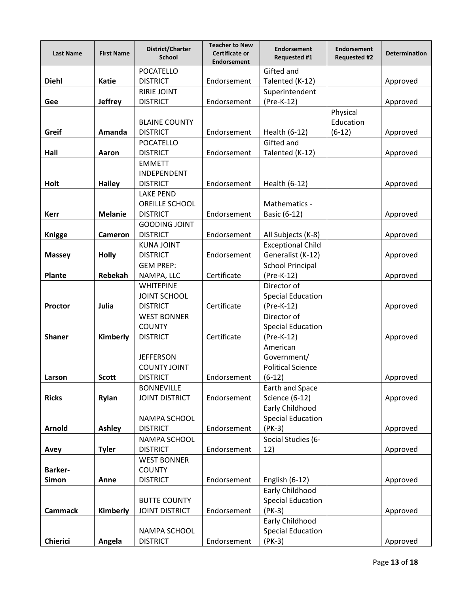| <b>Last Name</b> | <b>First Name</b> | District/Charter<br><b>School</b> | <b>Teacher to New</b><br><b>Certificate or</b><br><b>Endorsement</b> | <b>Endorsement</b><br><b>Requested #1</b> | <b>Endorsement</b><br><b>Requested #2</b> | <b>Determination</b> |
|------------------|-------------------|-----------------------------------|----------------------------------------------------------------------|-------------------------------------------|-------------------------------------------|----------------------|
|                  |                   | POCATELLO                         |                                                                      | Gifted and                                |                                           |                      |
| <b>Diehl</b>     | <b>Katie</b>      | <b>DISTRICT</b>                   | Endorsement                                                          | Talented (K-12)                           |                                           | Approved             |
|                  |                   | <b>RIRIE JOINT</b>                |                                                                      | Superintendent                            |                                           |                      |
| Gee              | <b>Jeffrey</b>    | <b>DISTRICT</b>                   | Endorsement                                                          | (Pre-K-12)                                |                                           | Approved             |
|                  |                   | <b>BLAINE COUNTY</b>              |                                                                      |                                           | Physical<br>Education                     |                      |
| Greif            | Amanda            | <b>DISTRICT</b>                   | Endorsement                                                          | Health (6-12)                             | $(6-12)$                                  | Approved             |
|                  |                   | POCATELLO                         |                                                                      | Gifted and                                |                                           |                      |
| Hall             | Aaron             | <b>DISTRICT</b>                   | Endorsement                                                          | Talented (K-12)                           |                                           | Approved             |
|                  |                   | <b>EMMETT</b>                     |                                                                      |                                           |                                           |                      |
|                  |                   | INDEPENDENT                       |                                                                      |                                           |                                           |                      |
| Holt             | <b>Hailey</b>     | <b>DISTRICT</b>                   | Endorsement                                                          | Health (6-12)                             |                                           | Approved             |
|                  |                   | <b>LAKE PEND</b>                  |                                                                      |                                           |                                           |                      |
|                  |                   | <b>OREILLE SCHOOL</b>             |                                                                      | Mathematics -                             |                                           |                      |
| <b>Kerr</b>      | <b>Melanie</b>    | <b>DISTRICT</b>                   | Endorsement                                                          | Basic (6-12)                              |                                           | Approved             |
|                  |                   | <b>GOODING JOINT</b>              |                                                                      |                                           |                                           |                      |
| <b>Knigge</b>    | Cameron           | <b>DISTRICT</b>                   | Endorsement                                                          | All Subjects (K-8)                        |                                           | Approved             |
|                  |                   | <b>KUNA JOINT</b>                 |                                                                      | <b>Exceptional Child</b>                  |                                           |                      |
| <b>Massey</b>    | <b>Holly</b>      | <b>DISTRICT</b>                   | Endorsement                                                          | Generalist (K-12)                         |                                           | Approved             |
|                  |                   | <b>GEM PREP:</b>                  |                                                                      | <b>School Principal</b>                   |                                           |                      |
| <b>Plante</b>    | Rebekah           | NAMPA, LLC                        | Certificate                                                          | (Pre-K-12)                                |                                           | Approved             |
|                  |                   | <b>WHITEPINE</b>                  |                                                                      | Director of                               |                                           |                      |
|                  |                   | <b>JOINT SCHOOL</b>               |                                                                      | <b>Special Education</b>                  |                                           |                      |
| <b>Proctor</b>   | Julia             | <b>DISTRICT</b>                   | Certificate                                                          | (Pre-K-12)                                |                                           | Approved             |
|                  |                   | <b>WEST BONNER</b>                |                                                                      | Director of                               |                                           |                      |
|                  |                   | <b>COUNTY</b>                     |                                                                      | <b>Special Education</b>                  |                                           |                      |
| <b>Shaner</b>    | Kimberly          | <b>DISTRICT</b>                   | Certificate                                                          | (Pre-K-12)                                |                                           | Approved             |
|                  |                   |                                   |                                                                      | American                                  |                                           |                      |
|                  |                   | <b>JEFFERSON</b>                  |                                                                      | Government/                               |                                           |                      |
|                  |                   | <b>COUNTY JOINT</b>               |                                                                      | <b>Political Science</b>                  |                                           |                      |
| Larson           | <b>Scott</b>      | <b>DISTRICT</b>                   | Endorsement                                                          | $(6-12)$                                  |                                           | Approved             |
|                  |                   | <b>BONNEVILLE</b>                 |                                                                      | Earth and Space                           |                                           |                      |
| <b>Ricks</b>     | Rylan             | <b>JOINT DISTRICT</b>             | Endorsement                                                          | <b>Science (6-12)</b>                     |                                           | Approved             |
|                  |                   |                                   |                                                                      | Early Childhood                           |                                           |                      |
|                  |                   | NAMPA SCHOOL                      |                                                                      | <b>Special Education</b>                  |                                           |                      |
| Arnold           | <b>Ashley</b>     | <b>DISTRICT</b>                   | Endorsement                                                          | $(PK-3)$                                  |                                           | Approved             |
|                  |                   | NAMPA SCHOOL                      |                                                                      | Social Studies (6-                        |                                           |                      |
| Avey             | <b>Tyler</b>      | <b>DISTRICT</b>                   | Endorsement                                                          | 12)                                       |                                           | Approved             |
|                  |                   | <b>WEST BONNER</b>                |                                                                      |                                           |                                           |                      |
| <b>Barker-</b>   |                   | <b>COUNTY</b>                     |                                                                      |                                           |                                           |                      |
| Simon            | Anne              | <b>DISTRICT</b>                   | Endorsement                                                          | English (6-12)                            |                                           | Approved             |
|                  |                   |                                   |                                                                      | Early Childhood                           |                                           |                      |
|                  |                   | <b>BUTTE COUNTY</b>               |                                                                      | <b>Special Education</b>                  |                                           |                      |
| <b>Cammack</b>   | Kimberly          | <b>JOINT DISTRICT</b>             | Endorsement                                                          | $(PK-3)$                                  |                                           | Approved             |
|                  |                   |                                   |                                                                      | Early Childhood                           |                                           |                      |
|                  |                   | NAMPA SCHOOL                      |                                                                      | <b>Special Education</b>                  |                                           |                      |
| Chierici         | Angela            | <b>DISTRICT</b>                   | Endorsement                                                          | $(PK-3)$                                  |                                           | Approved             |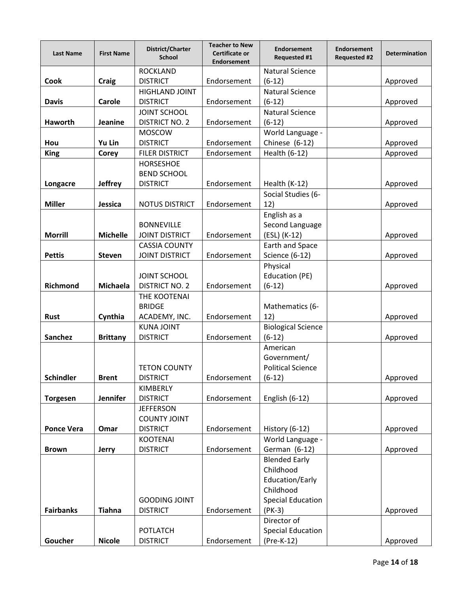| <b>Last Name</b>  | <b>First Name</b> | District/Charter<br><b>School</b>         | <b>Teacher to New</b><br>Certificate or<br><b>Endorsement</b> | <b>Endorsement</b><br><b>Requested #1</b> | <b>Endorsement</b><br><b>Requested #2</b> | <b>Determination</b> |
|-------------------|-------------------|-------------------------------------------|---------------------------------------------------------------|-------------------------------------------|-------------------------------------------|----------------------|
| <b>Cook</b>       | <b>Craig</b>      | <b>ROCKLAND</b><br><b>DISTRICT</b>        | Endorsement                                                   | <b>Natural Science</b><br>$(6-12)$        |                                           | Approved             |
| <b>Davis</b>      | Carole            | <b>HIGHLAND JOINT</b><br><b>DISTRICT</b>  | Endorsement                                                   | <b>Natural Science</b><br>$(6-12)$        |                                           | Approved             |
|                   |                   | <b>JOINT SCHOOL</b>                       |                                                               | <b>Natural Science</b>                    |                                           |                      |
| Haworth           | Jeanine           | <b>DISTRICT NO. 2</b>                     | Endorsement                                                   | $(6-12)$                                  |                                           | Approved             |
|                   |                   | <b>MOSCOW</b>                             |                                                               | World Language -                          |                                           |                      |
| Hou               | Yu Lin            | <b>DISTRICT</b>                           | Endorsement                                                   | Chinese (6-12)                            |                                           | Approved             |
| <b>King</b>       | Corey             | <b>FILER DISTRICT</b><br><b>HORSESHOE</b> | Endorsement                                                   | Health (6-12)                             |                                           | Approved             |
|                   |                   | <b>BEND SCHOOL</b>                        |                                                               |                                           |                                           |                      |
| Longacre          | <b>Jeffrey</b>    | <b>DISTRICT</b>                           | Endorsement                                                   | Health (K-12)                             |                                           | Approved             |
|                   |                   |                                           |                                                               | Social Studies (6-                        |                                           |                      |
| <b>Miller</b>     | Jessica           | <b>NOTUS DISTRICT</b>                     | Endorsement                                                   | 12)                                       |                                           | Approved             |
|                   |                   |                                           |                                                               | English as a                              |                                           |                      |
|                   |                   | <b>BONNEVILLE</b>                         |                                                               | Second Language                           |                                           |                      |
| <b>Morrill</b>    | <b>Michelle</b>   | <b>JOINT DISTRICT</b>                     | Endorsement                                                   | (ESL) (K-12)                              |                                           | Approved             |
|                   |                   | <b>CASSIA COUNTY</b>                      |                                                               | Earth and Space                           |                                           |                      |
| <b>Pettis</b>     | <b>Steven</b>     | <b>JOINT DISTRICT</b>                     | Endorsement                                                   | <b>Science (6-12)</b>                     |                                           | Approved             |
|                   |                   |                                           |                                                               | Physical                                  |                                           |                      |
|                   |                   | <b>JOINT SCHOOL</b>                       |                                                               | Education (PE)                            |                                           |                      |
| Richmond          | Michaela          | <b>DISTRICT NO. 2</b>                     | Endorsement                                                   | $(6-12)$                                  |                                           | Approved             |
|                   |                   | THE KOOTENAI<br><b>BRIDGE</b>             |                                                               | Mathematics (6-                           |                                           |                      |
| <b>Rust</b>       | Cynthia           | ACADEMY, INC.                             | Endorsement                                                   | 12)                                       |                                           | Approved             |
|                   |                   | <b>KUNA JOINT</b>                         |                                                               | <b>Biological Science</b>                 |                                           |                      |
| <b>Sanchez</b>    | <b>Brittany</b>   | <b>DISTRICT</b>                           | Endorsement                                                   | $(6-12)$                                  |                                           | Approved             |
|                   |                   |                                           |                                                               | American                                  |                                           |                      |
|                   |                   |                                           |                                                               | Government/                               |                                           |                      |
|                   |                   | <b>TETON COUNTY</b>                       |                                                               | <b>Political Science</b>                  |                                           |                      |
| <b>Schindler</b>  | <b>Brent</b>      | <b>DISTRICT</b>                           | Endorsement                                                   | (6-12)                                    |                                           | Approved             |
|                   |                   | KIMBERLY                                  |                                                               |                                           |                                           |                      |
| <b>Torgesen</b>   | <b>Jennifer</b>   | <b>DISTRICT</b>                           | Endorsement                                                   | English (6-12)                            |                                           | Approved             |
|                   |                   | <b>JEFFERSON</b>                          |                                                               |                                           |                                           |                      |
|                   |                   | <b>COUNTY JOINT</b>                       |                                                               |                                           |                                           |                      |
| <b>Ponce Vera</b> | Omar              | <b>DISTRICT</b>                           | Endorsement                                                   | History (6-12)                            |                                           | Approved             |
| <b>Brown</b>      | <b>Jerry</b>      | <b>KOOTENAI</b><br><b>DISTRICT</b>        | Endorsement                                                   | World Language -<br>German (6-12)         |                                           | Approved             |
|                   |                   |                                           |                                                               | <b>Blended Early</b>                      |                                           |                      |
|                   |                   |                                           |                                                               | Childhood                                 |                                           |                      |
|                   |                   |                                           |                                                               | Education/Early                           |                                           |                      |
|                   |                   |                                           |                                                               | Childhood                                 |                                           |                      |
|                   |                   | <b>GOODING JOINT</b>                      |                                                               | <b>Special Education</b>                  |                                           |                      |
| <b>Fairbanks</b>  | <b>Tiahna</b>     | <b>DISTRICT</b>                           | Endorsement                                                   | $(PK-3)$                                  |                                           | Approved             |
|                   |                   |                                           |                                                               | Director of                               |                                           |                      |
|                   |                   | <b>POTLATCH</b>                           |                                                               | <b>Special Education</b>                  |                                           |                      |
| Goucher           | <b>Nicole</b>     | <b>DISTRICT</b>                           | Endorsement                                                   | (Pre-K-12)                                |                                           | Approved             |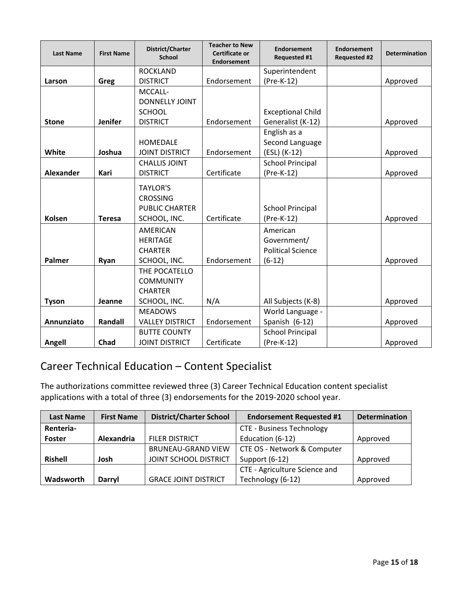| <b>Last Name</b> | <b>First Name</b> | District/Charter<br><b>School</b>                                           | <b>Teacher to New</b><br>Certificate or<br><b>Endorsement</b> | Endorsement<br>Requested #1                         | <b>Endorsement</b><br><b>Requested #2</b> | <b>Determination</b> |
|------------------|-------------------|-----------------------------------------------------------------------------|---------------------------------------------------------------|-----------------------------------------------------|-------------------------------------------|----------------------|
|                  |                   | <b>ROCKLAND</b>                                                             |                                                               | Superintendent                                      |                                           |                      |
| Larson           | Greg              | <b>DISTRICT</b>                                                             | Endorsement                                                   | (Pre-K-12)                                          |                                           | Approved             |
|                  |                   | MCCALL-                                                                     |                                                               |                                                     |                                           |                      |
|                  |                   | DONNELLY JOINT                                                              |                                                               |                                                     |                                           |                      |
|                  |                   | <b>SCHOOL</b>                                                               |                                                               | <b>Exceptional Child</b>                            |                                           |                      |
| <b>Stone</b>     | <b>Jenifer</b>    | <b>DISTRICT</b>                                                             | Endorsement                                                   | Generalist (K-12)                                   |                                           | Approved             |
|                  |                   |                                                                             |                                                               | English as a                                        |                                           |                      |
|                  |                   | <b>HOMEDALE</b>                                                             |                                                               | Second Language                                     |                                           |                      |
| White            | Joshua            | <b>JOINT DISTRICT</b>                                                       | Endorsement                                                   | (ESL) (K-12)                                        |                                           | Approved             |
|                  |                   | <b>CHALLIS JOINT</b>                                                        |                                                               | <b>School Principal</b>                             |                                           |                      |
| <b>Alexander</b> | Kari              | <b>DISTRICT</b>                                                             | Certificate<br>(Pre-K-12)                                     |                                                     |                                           | Approved             |
| Kolsen           | <b>Teresa</b>     | <b>TAYLOR'S</b><br><b>CROSSING</b><br><b>PUBLIC CHARTER</b><br>SCHOOL, INC. | Certificate                                                   | <b>School Principal</b><br>(Pre-K-12)               |                                           | Approved             |
|                  |                   | <b>AMERICAN</b><br><b>HERITAGE</b><br><b>CHARTER</b>                        |                                                               | American<br>Government/<br><b>Political Science</b> |                                           |                      |
| Palmer           | Ryan              | SCHOOL, INC.                                                                | Endorsement                                                   | $(6-12)$                                            |                                           | Approved             |
|                  |                   | THE POCATELLO<br><b>COMMUNITY</b><br><b>CHARTER</b>                         |                                                               |                                                     |                                           |                      |
| <b>Tyson</b>     | Jeanne            | SCHOOL, INC.                                                                | N/A                                                           | All Subjects (K-8)                                  |                                           | Approved             |
|                  |                   | <b>MEADOWS</b>                                                              |                                                               | World Language -                                    |                                           |                      |
| Annunziato       | Randall           | <b>VALLEY DISTRICT</b>                                                      | Endorsement                                                   | Spanish (6-12)                                      |                                           | Approved             |
|                  |                   | <b>BUTTE COUNTY</b>                                                         |                                                               | <b>School Principal</b>                             |                                           |                      |
| Angell           | Chad              | <b>JOINT DISTRICT</b>                                                       | Certificate                                                   | (Pre-K-12)                                          |                                           | Approved             |

# Career Technical Education – Content Specialist

The authorizations committee reviewed three (3) Career Technical Education content specialist applications with a total of three (3) endorsements for the 2019-2020 school year.

| <b>Last Name</b> | <b>First Name</b> | <b>District/Charter School</b> | <b>Endorsement Requested #1</b>  | <b>Determination</b> |
|------------------|-------------------|--------------------------------|----------------------------------|----------------------|
| Renteria-        |                   |                                | <b>CTE - Business Technology</b> |                      |
| <b>Foster</b>    | Alexandria        | <b>FILER DISTRICT</b>          | Education (6-12)                 | Approved             |
|                  |                   | <b>BRUNEAU-GRAND VIEW</b>      | CTE OS - Network & Computer      |                      |
| <b>Rishell</b>   | Josh              | JOINT SCHOOL DISTRICT          | Support (6-12)                   | Approved             |
|                  |                   |                                | CTE - Agriculture Science and    |                      |
| Wadsworth        | <b>Darryl</b>     | <b>GRACE JOINT DISTRICT</b>    | Technology (6-12)                | Approved             |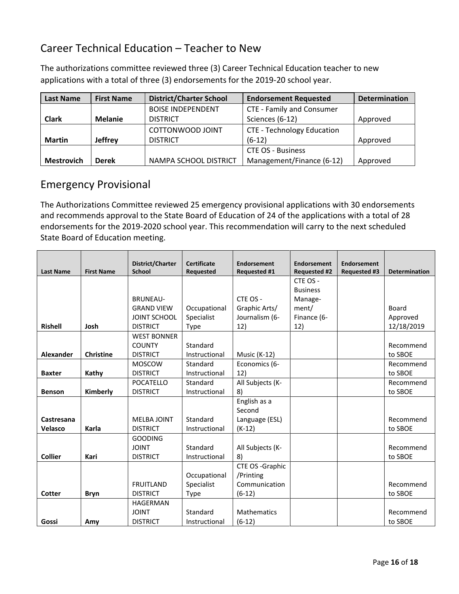## Career Technical Education – Teacher to New

| <b>Last Name</b>  | <b>First Name</b> | <b>District/Charter School</b> | <b>Endorsement Requested</b>      | <b>Determination</b> |
|-------------------|-------------------|--------------------------------|-----------------------------------|----------------------|
|                   |                   | <b>BOISE INDEPENDENT</b>       | CTE - Family and Consumer         |                      |
| <b>Clark</b>      | <b>Melanie</b>    | <b>DISTRICT</b>                | Sciences (6-12)                   | Approved             |
|                   |                   | COTTONWOOD JOINT               | <b>CTE - Technology Education</b> |                      |
| <b>Martin</b>     | <b>Jeffrey</b>    | <b>DISTRICT</b>                | $(6-12)$                          | Approved             |
|                   |                   |                                | <b>CTE OS - Business</b>          |                      |
| <b>Mestrovich</b> | <b>Derek</b>      | NAMPA SCHOOL DISTRICT          | Management/Finance (6-12)         | Approved             |

The authorizations committee reviewed three (3) Career Technical Education teacher to new applications with a total of three (3) endorsements for the 2019-20 school year.

### Emergency Provisional

The Authorizations Committee reviewed 25 emergency provisional applications with 30 endorsements and recommends approval to the State Board of Education of 24 of the applications with a total of 28 endorsements for the 2019-2020 school year. This recommendation will carry to the next scheduled State Board of Education meeting.

|                  |                   | District/Charter    | <b>Certificate</b> | <b>Endorsement</b>  | <b>Endorsement</b>  | <b>Endorsement</b>  |                      |
|------------------|-------------------|---------------------|--------------------|---------------------|---------------------|---------------------|----------------------|
| <b>Last Name</b> | <b>First Name</b> | <b>School</b>       | <b>Requested</b>   | <b>Requested #1</b> | <b>Requested #2</b> | <b>Requested #3</b> | <b>Determination</b> |
|                  |                   |                     |                    |                     | CTE OS -            |                     |                      |
|                  |                   |                     |                    |                     | <b>Business</b>     |                     |                      |
|                  |                   | <b>BRUNEAU-</b>     |                    | CTE OS -            | Manage-             |                     |                      |
|                  |                   | <b>GRAND VIEW</b>   | Occupational       | Graphic Arts/       | ment/               |                     | Board                |
|                  |                   | <b>JOINT SCHOOL</b> | Specialist         | Journalism (6-      | Finance (6-         |                     | Approved             |
| <b>Rishell</b>   | Josh              | <b>DISTRICT</b>     | <b>Type</b>        | 12)                 | 12)                 |                     | 12/18/2019           |
|                  |                   | <b>WEST BONNER</b>  |                    |                     |                     |                     |                      |
|                  |                   | <b>COUNTY</b>       | Standard           |                     |                     |                     | Recommend            |
| <b>Alexander</b> | <b>Christine</b>  | <b>DISTRICT</b>     | Instructional      | Music (K-12)        |                     |                     | to SBOE              |
|                  |                   | <b>MOSCOW</b>       | Standard           | Economics (6-       |                     |                     | Recommend            |
| <b>Baxter</b>    | Kathy             | <b>DISTRICT</b>     | Instructional      | 12)                 |                     |                     | to SBOE              |
|                  |                   | <b>POCATELLO</b>    | Standard           | All Subjects (K-    |                     |                     | Recommend            |
| <b>Benson</b>    | Kimberly          | <b>DISTRICT</b>     | Instructional      | 8)                  |                     |                     | to SBOE              |
|                  |                   |                     |                    | English as a        |                     |                     |                      |
|                  |                   |                     |                    | Second              |                     |                     |                      |
| Castresana       |                   | <b>MELBA JOINT</b>  | Standard           | Language (ESL)      |                     |                     | Recommend            |
| Velasco          | Karla             | <b>DISTRICT</b>     | Instructional      | $(K-12)$            |                     |                     | to SBOE              |
|                  |                   | <b>GOODING</b>      |                    |                     |                     |                     |                      |
|                  |                   | <b>JOINT</b>        | Standard           | All Subjects (K-    |                     |                     | Recommend            |
| <b>Collier</b>   | Kari              | <b>DISTRICT</b>     | Instructional      | 8)                  |                     |                     | to SBOE              |
|                  |                   |                     |                    | CTE OS -Graphic     |                     |                     |                      |
|                  |                   |                     | Occupational       | /Printing           |                     |                     |                      |
|                  |                   | <b>FRUITLAND</b>    | Specialist         | Communication       |                     |                     | Recommend            |
| Cotter           | <b>Bryn</b>       | <b>DISTRICT</b>     | Type               | $(6-12)$            |                     |                     | to SBOE              |
|                  |                   | <b>HAGERMAN</b>     |                    |                     |                     |                     |                      |
|                  |                   | <b>JOINT</b>        | Standard           | <b>Mathematics</b>  |                     |                     | Recommend            |
| Gossi            | Amy               | <b>DISTRICT</b>     | Instructional      | $(6-12)$            |                     |                     | to SBOE              |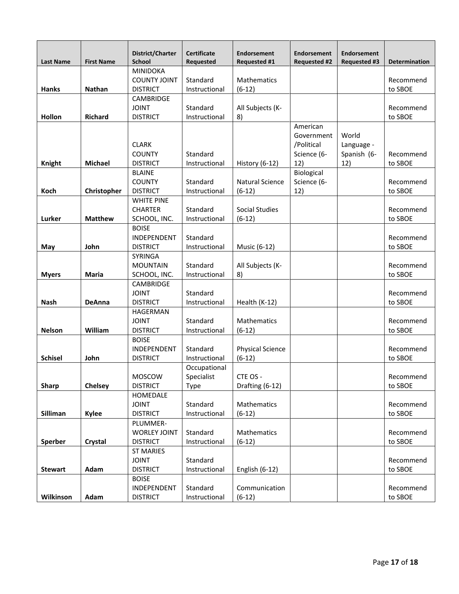|                  |                   | District/Charter                 | <b>Certificate</b> | <b>Endorsement</b>      | <b>Endorsement</b>  | <b>Endorsement</b>  |                      |
|------------------|-------------------|----------------------------------|--------------------|-------------------------|---------------------|---------------------|----------------------|
| <b>Last Name</b> | <b>First Name</b> | <b>School</b><br><b>MINIDOKA</b> | Requested          | <b>Requested #1</b>     | <b>Requested #2</b> | <b>Requested #3</b> | <b>Determination</b> |
|                  |                   | <b>COUNTY JOINT</b>              | Standard           | <b>Mathematics</b>      |                     |                     | Recommend            |
| <b>Hanks</b>     | <b>Nathan</b>     | <b>DISTRICT</b>                  | Instructional      | $(6-12)$                |                     |                     | to SBOE              |
|                  |                   | <b>CAMBRIDGE</b>                 |                    |                         |                     |                     |                      |
|                  |                   | <b>JOINT</b>                     | Standard           | All Subjects (K-        |                     |                     | Recommend            |
| Hollon           | <b>Richard</b>    | <b>DISTRICT</b>                  | Instructional      | 8)                      |                     |                     | to SBOE              |
|                  |                   |                                  |                    |                         | American            |                     |                      |
|                  |                   |                                  |                    |                         | Government          | World               |                      |
|                  |                   | <b>CLARK</b>                     |                    |                         | /Political          | Language -          |                      |
|                  |                   | <b>COUNTY</b>                    | Standard           |                         | Science (6-         | Spanish (6-         | Recommend            |
| Knight           | <b>Michael</b>    | <b>DISTRICT</b>                  | Instructional      | History (6-12)          | 12)                 | 12)                 | to SBOE              |
|                  |                   | <b>BLAINE</b>                    |                    |                         | Biological          |                     |                      |
|                  |                   | <b>COUNTY</b>                    | Standard           | <b>Natural Science</b>  | Science (6-         |                     | Recommend            |
| Koch             | Christopher       | <b>DISTRICT</b>                  | Instructional      | $(6-12)$                | 12)                 |                     | to SBOE              |
|                  |                   | <b>WHITE PINE</b>                |                    |                         |                     |                     |                      |
|                  |                   | <b>CHARTER</b>                   | Standard           | <b>Social Studies</b>   |                     |                     | Recommend            |
| Lurker           | <b>Matthew</b>    | SCHOOL, INC.                     | Instructional      | $(6-12)$                |                     |                     | to SBOE              |
|                  |                   | <b>BOISE</b>                     |                    |                         |                     |                     |                      |
|                  |                   | INDEPENDENT                      | Standard           |                         |                     |                     | Recommend            |
| May              | John              | <b>DISTRICT</b>                  | Instructional      | Music (6-12)            |                     |                     | to SBOE              |
|                  |                   | <b>SYRINGA</b>                   |                    |                         |                     |                     |                      |
|                  |                   | <b>MOUNTAIN</b>                  | Standard           | All Subjects (K-        |                     |                     | Recommend            |
| <b>Myers</b>     | Maria             | SCHOOL, INC.                     | Instructional      | 8)                      |                     |                     | to SBOE              |
|                  |                   | <b>CAMBRIDGE</b>                 |                    |                         |                     |                     |                      |
| <b>Nash</b>      |                   | <b>JOINT</b>                     | Standard           |                         |                     |                     | Recommend            |
|                  | <b>DeAnna</b>     | <b>DISTRICT</b><br>HAGERMAN      | Instructional      | Health (K-12)           |                     |                     | to SBOE              |
|                  |                   | <b>JOINT</b>                     | Standard           | Mathematics             |                     |                     | Recommend            |
| <b>Nelson</b>    | William           | <b>DISTRICT</b>                  | Instructional      | $(6-12)$                |                     |                     | to SBOE              |
|                  |                   | <b>BOISE</b>                     |                    |                         |                     |                     |                      |
|                  |                   | INDEPENDENT                      | Standard           | <b>Physical Science</b> |                     |                     | Recommend            |
| <b>Schisel</b>   | John              | <b>DISTRICT</b>                  | Instructional      | $(6-12)$                |                     |                     | to SBOE              |
|                  |                   |                                  | Occupational       |                         |                     |                     |                      |
|                  |                   | MOSCOW                           | Specialist         | CTE OS -                |                     |                     | Recommend            |
| Sharp            | Chelsey           | <b>DISTRICT</b>                  | <b>Type</b>        | Drafting (6-12)         |                     |                     | to SBOE              |
|                  |                   | HOMEDALE                         |                    |                         |                     |                     |                      |
|                  |                   | <b>JOINT</b>                     | Standard           | Mathematics             |                     |                     | Recommend            |
| Silliman         | <b>Kylee</b>      | <b>DISTRICT</b>                  | Instructional      | $(6-12)$                |                     |                     | to SBOE              |
|                  |                   | PLUMMER-                         |                    |                         |                     |                     |                      |
|                  |                   | <b>WORLEY JOINT</b>              | Standard           | Mathematics             |                     |                     | Recommend            |
| Sperber          | Crystal           | <b>DISTRICT</b>                  | Instructional      | $(6-12)$                |                     |                     | to SBOE              |
|                  |                   | <b>ST MARIES</b>                 |                    |                         |                     |                     |                      |
|                  |                   | <b>JOINT</b>                     | Standard           |                         |                     |                     | Recommend            |
| <b>Stewart</b>   | Adam              | <b>DISTRICT</b>                  | Instructional      | English (6-12)          |                     |                     | to SBOE              |
|                  |                   | <b>BOISE</b>                     |                    |                         |                     |                     |                      |
|                  |                   | INDEPENDENT                      | Standard           | Communication           |                     |                     | Recommend            |
| Wilkinson        | Adam              | <b>DISTRICT</b>                  | Instructional      | $(6-12)$                |                     |                     | to SBOE              |